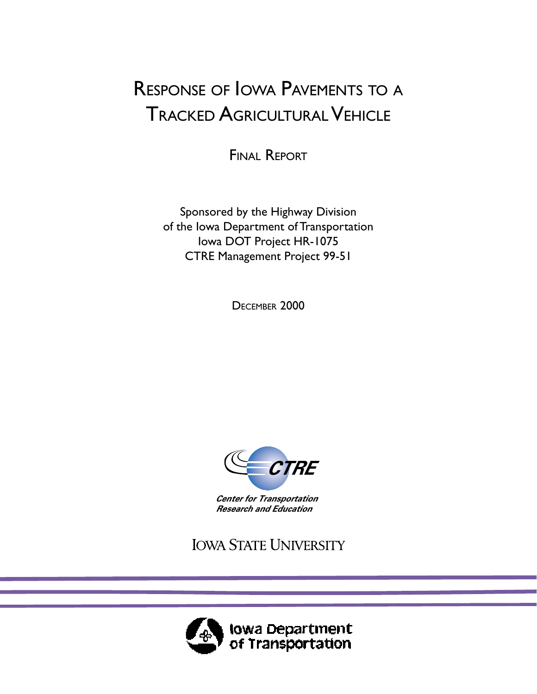# RESPONSE OF IOWA PAVEMENTS TO <sup>A</sup> TRACKED AGRICULTURAL VEHICLE

FINAL REPORT

Sponsored by the Highway Division of the Iowa Department of Transportation Iowa DOT Project HR-1075 CTRE Management Project 99-51

DECEMBER 2000



*Center for Transportation Research and Education*

**IOWA STATE UNIVERSITY** 

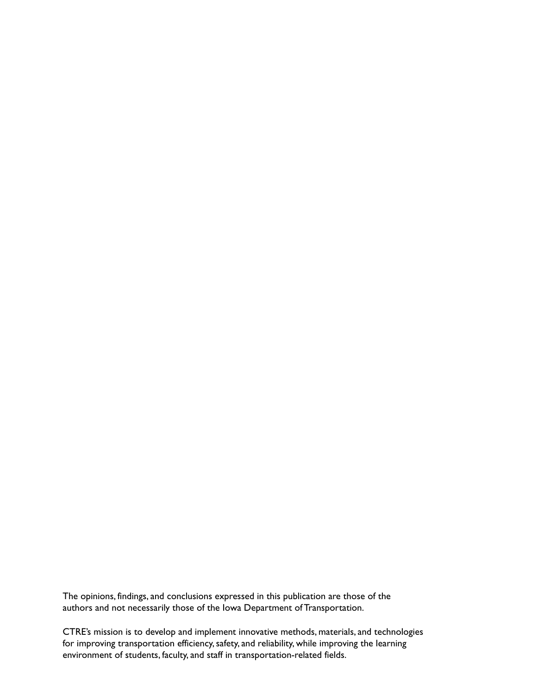The opinions, findings, and conclusions expressed in this publication are those of the authors and not necessarily those of the Iowa Department of Transportation.

CTRE's mission is to develop and implement innovative methods, materials, and technologies for improving transportation efficiency, safety, and reliability, while improving the learning environment of students, faculty, and staff in transportation-related fields.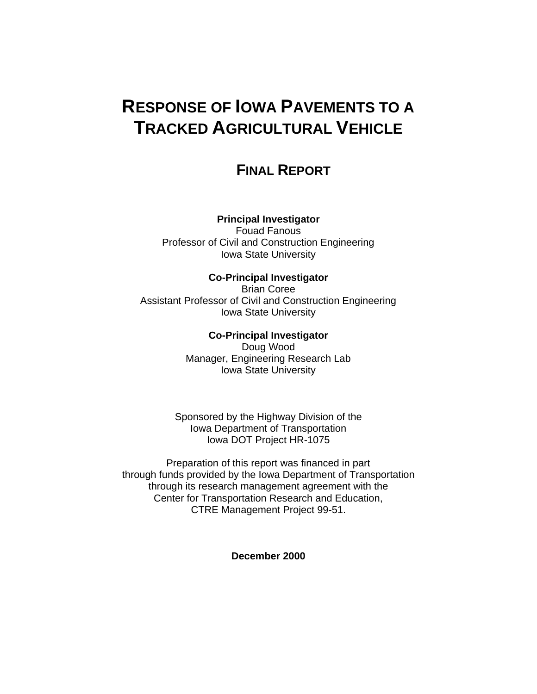## **RESPONSE OF IOWA PAVEMENTS TO A TRACKED AGRICULTURAL VEHICLE**

## **FINAL REPORT**

### **Principal Investigator**

Fouad Fanous Professor of Civil and Construction Engineering Iowa State University

### **Co-Principal Investigator**

Brian Coree Assistant Professor of Civil and Construction Engineering Iowa State University

#### **Co-Principal Investigator**

Doug Wood Manager, Engineering Research Lab Iowa State University

Sponsored by the Highway Division of the Iowa Department of Transportation Iowa DOT Project HR-1075

Preparation of this report was financed in part through funds provided by the Iowa Department of Transportation through its research management agreement with the Center for Transportation Research and Education, CTRE Management Project 99-51.

**December 2000**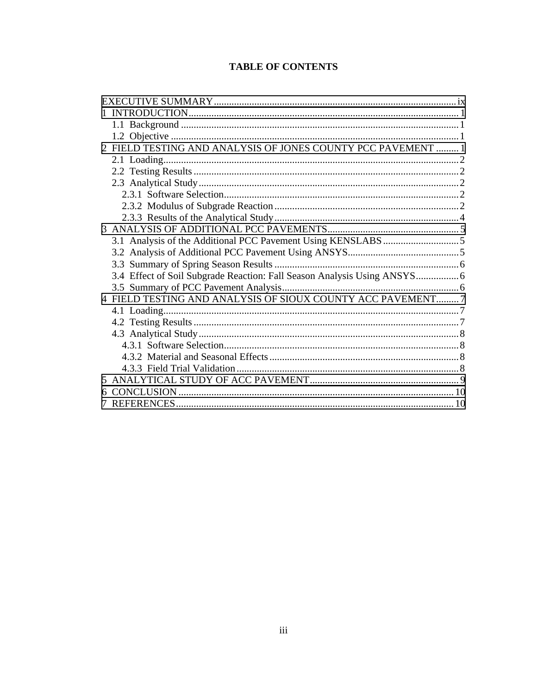## **TABLE OF CONTENTS**

| 2 FIELD TESTING AND ANALYSIS OF JONES COUNTY PCC PAVEMENT  1             |  |
|--------------------------------------------------------------------------|--|
|                                                                          |  |
|                                                                          |  |
|                                                                          |  |
|                                                                          |  |
|                                                                          |  |
|                                                                          |  |
|                                                                          |  |
|                                                                          |  |
|                                                                          |  |
|                                                                          |  |
| 3.4 Effect of Soil Subgrade Reaction: Fall Season Analysis Using ANSYS 6 |  |
|                                                                          |  |
| 4 FIELD TESTING AND ANALYSIS OF SIOUX COUNTY ACC PAVEMENT 7              |  |
|                                                                          |  |
|                                                                          |  |
|                                                                          |  |
|                                                                          |  |
|                                                                          |  |
|                                                                          |  |
|                                                                          |  |
|                                                                          |  |
|                                                                          |  |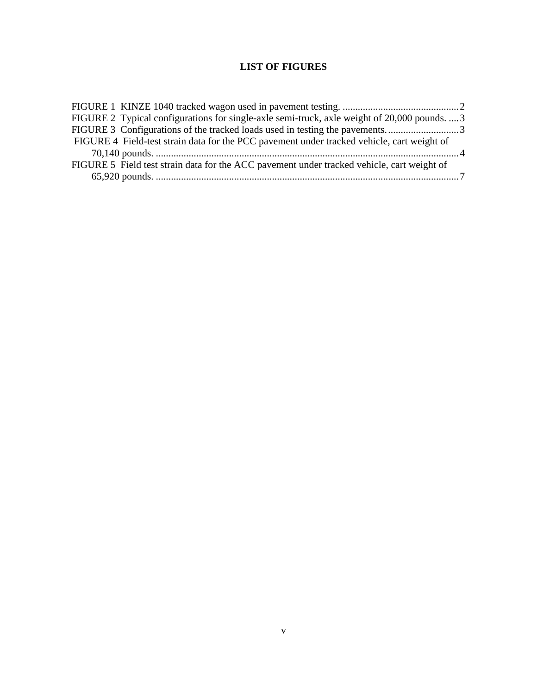## **LIST OF FIGURES**

| FIGURE 2 Typical configurations for single-axle semi-truck, axle weight of 20,000 pounds.  3 |  |
|----------------------------------------------------------------------------------------------|--|
| FIGURE 3 Configurations of the tracked loads used in testing the pavements3                  |  |
| FIGURE 4 Field-test strain data for the PCC pavement under tracked vehicle, cart weight of   |  |
|                                                                                              |  |
| FIGURE 5 Field test strain data for the ACC pavement under tracked vehicle, cart weight of   |  |
|                                                                                              |  |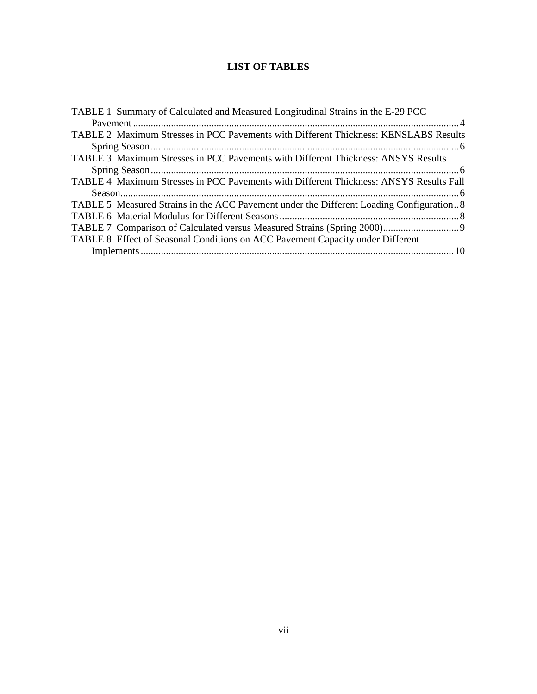## **LIST OF TABLES**

| TABLE 1 Summary of Calculated and Measured Longitudinal Strains in the E-29 PCC         |  |
|-----------------------------------------------------------------------------------------|--|
|                                                                                         |  |
| TABLE 2 Maximum Stresses in PCC Pavements with Different Thickness: KENSLABS Results    |  |
|                                                                                         |  |
| TABLE 3 Maximum Stresses in PCC Pavements with Different Thickness: ANSYS Results       |  |
|                                                                                         |  |
| TABLE 4 Maximum Stresses in PCC Pavements with Different Thickness: ANSYS Results Fall  |  |
|                                                                                         |  |
| TABLE 5 Measured Strains in the ACC Pavement under the Different Loading Configuration8 |  |
|                                                                                         |  |
|                                                                                         |  |
| TABLE 8 Effect of Seasonal Conditions on ACC Pavement Capacity under Different          |  |
|                                                                                         |  |
|                                                                                         |  |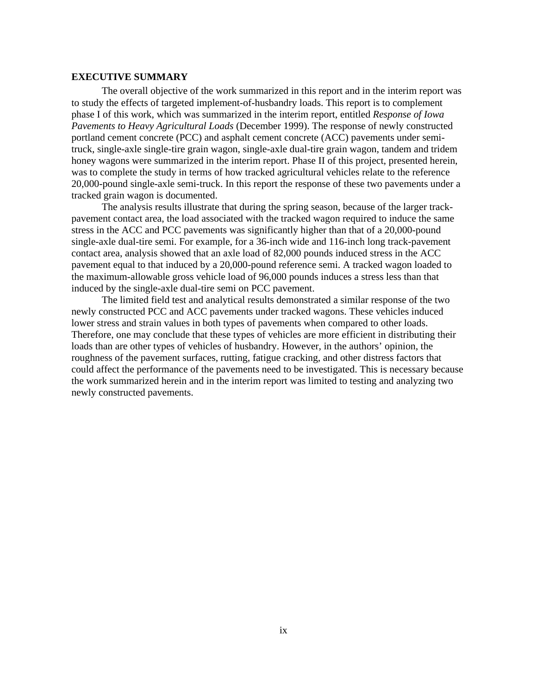#### <span id="page-6-0"></span>**EXECUTIVE SUMMARY**

The overall objective of the work summarized in this report and in the interim report was to study the effects of targeted implement-of-husbandry loads. This report is to complement phase I of this work, which was summarized in the interim report, entitled *Response of Iowa Pavements to Heavy Agricultural Loads* (December 1999). The response of newly constructed portland cement concrete (PCC) and asphalt cement concrete (ACC) pavements under semitruck, single-axle single-tire grain wagon, single-axle dual-tire grain wagon, tandem and tridem honey wagons were summarized in the interim report. Phase II of this project, presented herein, was to complete the study in terms of how tracked agricultural vehicles relate to the reference 20,000-pound single-axle semi-truck. In this report the response of these two pavements under a tracked grain wagon is documented.

The analysis results illustrate that during the spring season, because of the larger trackpavement contact area, the load associated with the tracked wagon required to induce the same stress in the ACC and PCC pavements was significantly higher than that of a 20,000-pound single-axle dual-tire semi. For example, for a 36-inch wide and 116-inch long track-pavement contact area, analysis showed that an axle load of 82,000 pounds induced stress in the ACC pavement equal to that induced by a 20,000-pound reference semi. A tracked wagon loaded to the maximum-allowable gross vehicle load of 96,000 pounds induces a stress less than that induced by the single-axle dual-tire semi on PCC pavement.

The limited field test and analytical results demonstrated a similar response of the two newly constructed PCC and ACC pavements under tracked wagons. These vehicles induced lower stress and strain values in both types of pavements when compared to other loads. Therefore, one may conclude that these types of vehicles are more efficient in distributing their loads than are other types of vehicles of husbandry. However, in the authors' opinion, the roughness of the pavement surfaces, rutting, fatigue cracking, and other distress factors that could affect the performance of the pavements need to be investigated. This is necessary because the work summarized herein and in the interim report was limited to testing and analyzing two newly constructed pavements.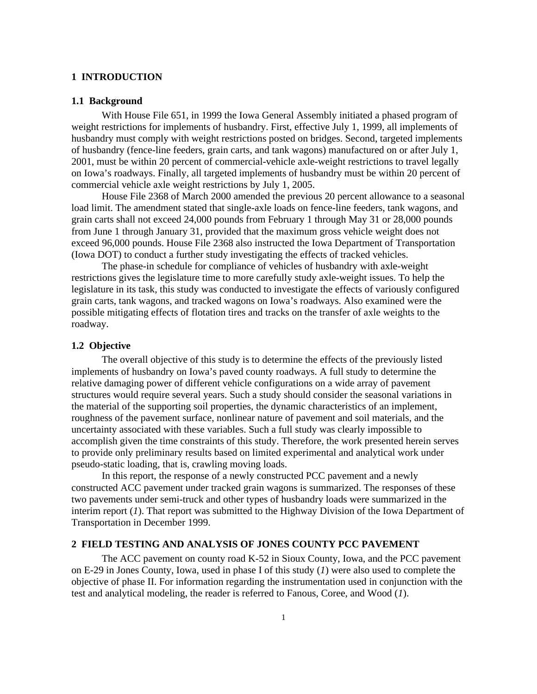#### <span id="page-7-0"></span>**1 INTRODUCTION**

#### **1.1 Background**

With House File 651, in 1999 the Iowa General Assembly initiated a phased program of weight restrictions for implements of husbandry. First, effective July 1, 1999, all implements of husbandry must comply with weight restrictions posted on bridges. Second, targeted implements of husbandry (fence-line feeders, grain carts, and tank wagons) manufactured on or after July 1, 2001, must be within 20 percent of commercial-vehicle axle-weight restrictions to travel legally on Iowa's roadways. Finally, all targeted implements of husbandry must be within 20 percent of commercial vehicle axle weight restrictions by July 1, 2005.

House File 2368 of March 2000 amended the previous 20 percent allowance to a seasonal load limit. The amendment stated that single-axle loads on fence-line feeders, tank wagons, and grain carts shall not exceed 24,000 pounds from February 1 through May 31 or 28,000 pounds from June 1 through January 31, provided that the maximum gross vehicle weight does not exceed 96,000 pounds. House File 2368 also instructed the Iowa Department of Transportation (Iowa DOT) to conduct a further study investigating the effects of tracked vehicles.

The phase-in schedule for compliance of vehicles of husbandry with axle-weight restrictions gives the legislature time to more carefully study axle-weight issues. To help the legislature in its task, this study was conducted to investigate the effects of variously configured grain carts, tank wagons, and tracked wagons on Iowa's roadways. Also examined were the possible mitigating effects of flotation tires and tracks on the transfer of axle weights to the roadway.

#### **1.2 Objective**

The overall objective of this study is to determine the effects of the previously listed implements of husbandry on Iowa's paved county roadways. A full study to determine the relative damaging power of different vehicle configurations on a wide array of pavement structures would require several years. Such a study should consider the seasonal variations in the material of the supporting soil properties, the dynamic characteristics of an implement, roughness of the pavement surface, nonlinear nature of pavement and soil materials, and the uncertainty associated with these variables. Such a full study was clearly impossible to accomplish given the time constraints of this study. Therefore, the work presented herein serves to provide only preliminary results based on limited experimental and analytical work under pseudo-static loading, that is, crawling moving loads.

In this report, the response of a newly constructed PCC pavement and a newly constructed ACC pavement under tracked grain wagons is summarized. The responses of these two pavements under semi-truck and other types of husbandry loads were summarized in the interim report (*1*). That report was submitted to the Highway Division of the Iowa Department of Transportation in December 1999.

#### **2 FIELD TESTING AND ANALYSIS OF JONES COUNTY PCC PAVEMENT**

The ACC pavement on county road K-52 in Sioux County, Iowa, and the PCC pavement on E-29 in Jones County, Iowa, used in phase I of this study (*1*) were also used to complete the objective of phase II. For information regarding the instrumentation used in conjunction with the test and analytical modeling, the reader is referred to Fanous, Coree, and Wood (*1*).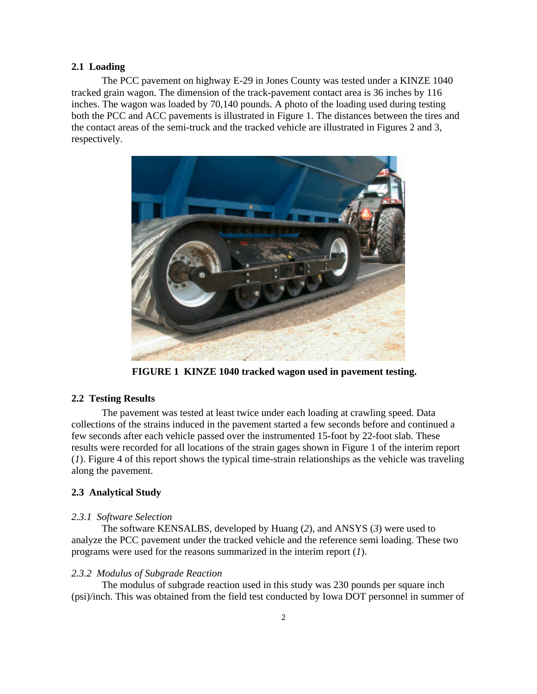#### **2.1 Loading**

The PCC pavement on highway E-29 in Jones County was tested under a KINZE 1040 tracked grain wagon. The dimension of the track-pavement contact area is 36 inches by 116 inches. The wagon was loaded by 70,140 pounds. A photo of the loading used during testing both the PCC and ACC pavements is illustrated in Figure 1. The distances between the tires and the contact areas of the semi-truck and the tracked vehicle are illustrated in Figures 2 and 3, respectively.



**FIGURE 1 KINZE 1040 tracked wagon used in pavement testing.**

#### **2.2 Testing Results**

The pavement was tested at least twice under each loading at crawling speed. Data collections of the strains induced in the pavement started a few seconds before and continued a few seconds after each vehicle passed over the instrumented 15-foot by 22-foot slab. These results were recorded for all locations of the strain gages shown in Figure 1 of the interim report (*1*). Figure 4 of this report shows the typical time-strain relationships as the vehicle was traveling along the pavement.

#### **2.3 Analytical Study**

#### *2.3.1 Software Selection*

The software KENSALBS, developed by Huang (*2*), and ANSYS (*3*) were used to analyze the PCC pavement under the tracked vehicle and the reference semi loading. These two programs were used for the reasons summarized in the interim report (*1*).

#### *2.3.2 Modulus of Subgrade Reaction*

The modulus of subgrade reaction used in this study was 230 pounds per square inch (psi)/inch. This was obtained from the field test conducted by Iowa DOT personnel in summer of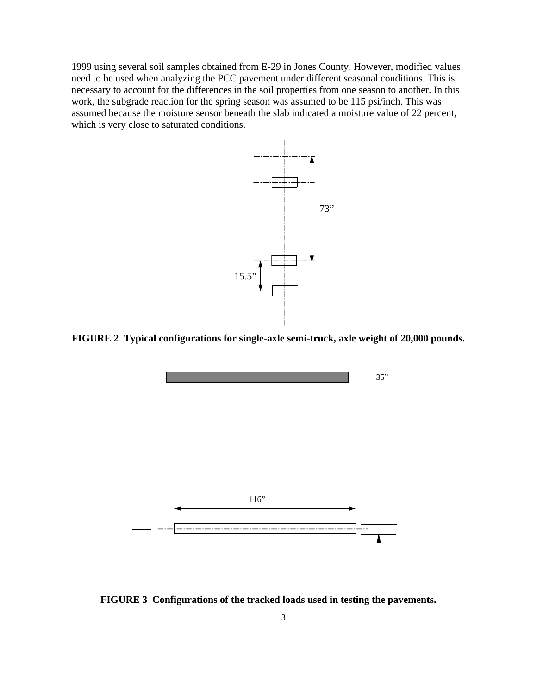1999 using several soil samples obtained from E-29 in Jones County. However, modified values need to be used when analyzing the PCC pavement under different seasonal conditions. This is necessary to account for the differences in the soil properties from one season to another. In this work, the subgrade reaction for the spring season was assumed to be 115 psi/inch. This was assumed because the moisture sensor beneath the slab indicated a moisture value of 22 percent, which is very close to saturated conditions.



**FIGURE 2 Typical configurations for single-axle semi-truck, axle weight of 20,000 pounds.**



**FIGURE 3 Configurations of the tracked loads used in testing the pavements.**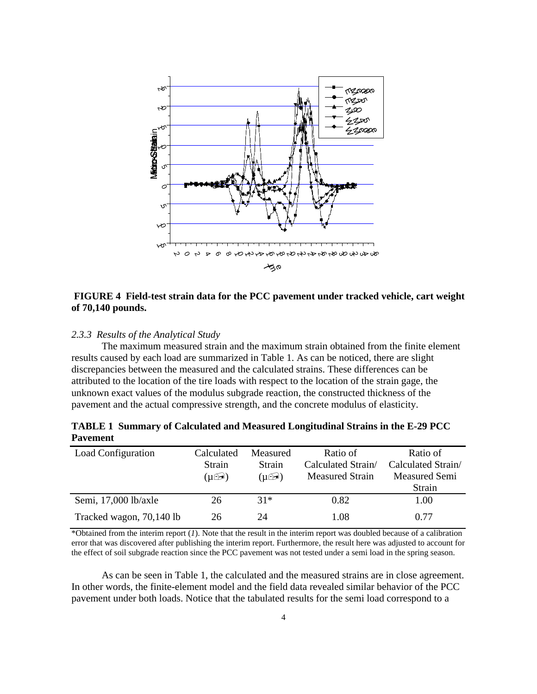

#### **FIGURE 4 Field-test strain data for the PCC pavement under tracked vehicle, cart weight of 70,140 pounds.**

#### *2.3.3 Results of the Analytical Study*

The maximum measured strain and the maximum strain obtained from the finite element results caused by each load are summarized in Table 1. As can be noticed, there are slight discrepancies between the measured and the calculated strains. These differences can be attributed to the location of the tire loads with respect to the location of the strain gage, the unknown exact values of the modulus subgrade reaction, the constructed thickness of the pavement and the actual compressive strength, and the concrete modulus of elasticity.

**TABLE 1 Summary of Calculated and Measured Longitudinal Strains in the E-29 PCC Pavement**

| Load Configuration       | Calculated    | Measured                     | Ratio of               | Ratio of             |
|--------------------------|---------------|------------------------------|------------------------|----------------------|
|                          | Strain        | <b>Strain</b>                | Calculated Strain/     | Calculated Strain/   |
|                          | $(\mu \odot)$ | $(\mu \widehat{\mathbb{Z}})$ | <b>Measured Strain</b> | <b>Measured Semi</b> |
|                          |               |                              |                        | Strain               |
| Semi, 17,000 lb/axle     | 26            | $31*$                        | 0.82                   | 1.00                 |
| Tracked wagon, 70,140 lb | 26            | 24                           | 1.08                   | 0.77                 |

\*Obtained from the interim report (*1*). Note that the result in the interim report was doubled because of a calibration error that was discovered after publishing the interim report. Furthermore, the result here was adjusted to account for the effect of soil subgrade reaction since the PCC pavement was not tested under a semi load in the spring season.

As can be seen in Table 1, the calculated and the measured strains are in close agreement. In other words, the finite-element model and the field data revealed similar behavior of the PCC pavement under both loads. Notice that the tabulated results for the semi load correspond to a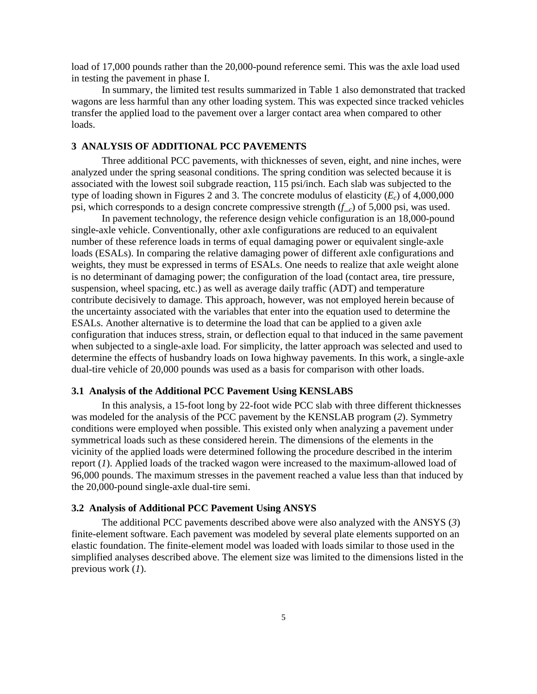<span id="page-11-0"></span>load of 17,000 pounds rather than the 20,000-pound reference semi. This was the axle load used in testing the pavement in phase I.

In summary, the limited test results summarized in Table 1 also demonstrated that tracked wagons are less harmful than any other loading system. This was expected since tracked vehicles transfer the applied load to the pavement over a larger contact area when compared to other loads.

#### **3 ANALYSIS OF ADDITIONAL PCC PAVEMENTS**

Three additional PCC pavements, with thicknesses of seven, eight, and nine inches, were analyzed under the spring seasonal conditions. The spring condition was selected because it is associated with the lowest soil subgrade reaction, 115 psi/inch. Each slab was subjected to the type of loading shown in Figures 2 and 3. The concrete modulus of elasticity (*Ec*) of 4,000,000 psi, which corresponds to a design concrete compressive strength (*f*\_*c*) of 5,000 psi, was used.

In pavement technology, the reference design vehicle configuration is an 18,000-pound single-axle vehicle. Conventionally, other axle configurations are reduced to an equivalent number of these reference loads in terms of equal damaging power or equivalent single-axle loads (ESALs). In comparing the relative damaging power of different axle configurations and weights, they must be expressed in terms of ESALs. One needs to realize that axle weight alone is no determinant of damaging power; the configuration of the load (contact area, tire pressure, suspension, wheel spacing, etc.) as well as average daily traffic (ADT) and temperature contribute decisively to damage. This approach, however, was not employed herein because of the uncertainty associated with the variables that enter into the equation used to determine the ESALs. Another alternative is to determine the load that can be applied to a given axle configuration that induces stress, strain, or deflection equal to that induced in the same pavement when subjected to a single-axle load. For simplicity, the latter approach was selected and used to determine the effects of husbandry loads on Iowa highway pavements. In this work, a single-axle dual-tire vehicle of 20,000 pounds was used as a basis for comparison with other loads.

#### **3.1 Analysis of the Additional PCC Pavement Using KENSLABS**

In this analysis, a 15-foot long by 22-foot wide PCC slab with three different thicknesses was modeled for the analysis of the PCC pavement by the KENSLAB program (*2*). Symmetry conditions were employed when possible. This existed only when analyzing a pavement under symmetrical loads such as these considered herein. The dimensions of the elements in the vicinity of the applied loads were determined following the procedure described in the interim report (*1*). Applied loads of the tracked wagon were increased to the maximum-allowed load of 96,000 pounds. The maximum stresses in the pavement reached a value less than that induced by the 20,000-pound single-axle dual-tire semi.

#### **3.2 Analysis of Additional PCC Pavement Using ANSYS**

The additional PCC pavements described above were also analyzed with the ANSYS (*3*) finite-element software. Each pavement was modeled by several plate elements supported on an elastic foundation. The finite-element model was loaded with loads similar to those used in the simplified analyses described above. The element size was limited to the dimensions listed in the previous work (*1*).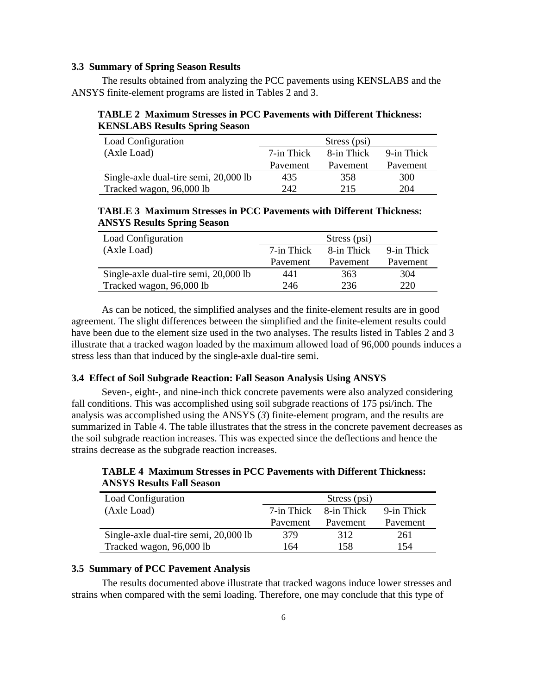#### **3.3 Summary of Spring Season Results**

The results obtained from analyzing the PCC pavements using KENSLABS and the ANSYS finite-element programs are listed in Tables 2 and 3.

**TABLE 2 Maximum Stresses in PCC Pavements with Different Thickness: KENSLABS Results Spring Season**

| Load Configuration                    |            | Stress (psi) |            |
|---------------------------------------|------------|--------------|------------|
| (Axle Load)                           | 7-in Thick | 8-in Thick   | 9-in Thick |
|                                       | Pavement   | Pavement     | Pavement   |
| Single-axle dual-tire semi, 20,000 lb | 435        | 358          | 300        |
| Tracked wagon, 96,000 lb              | 242        | 215          | 204        |

#### **TABLE 3 Maximum Stresses in PCC Pavements with Different Thickness: ANSYS Results Spring Season**

| Load Configuration                    |            | Stress (psi) |            |
|---------------------------------------|------------|--------------|------------|
| (Axle Load)                           | 7-in Thick | 8-in Thick   | 9-in Thick |
|                                       | Pavement   | Pavement     | Pavement   |
| Single-axle dual-tire semi, 20,000 lb | 441        | 363          | 304        |
| Tracked wagon, 96,000 lb              | 246        | 236          | 220        |

As can be noticed, the simplified analyses and the finite-element results are in good agreement. The slight differences between the simplified and the finite-element results could have been due to the element size used in the two analyses. The results listed in Tables 2 and 3 illustrate that a tracked wagon loaded by the maximum allowed load of 96,000 pounds induces a stress less than that induced by the single-axle dual-tire semi.

#### **3.4 Effect of Soil Subgrade Reaction: Fall Season Analysis Using ANSYS**

Seven-, eight-, and nine-inch thick concrete pavements were also analyzed considering fall conditions. This was accomplished using soil subgrade reactions of 175 psi/inch. The analysis was accomplished using the ANSYS (*3*) finite-element program, and the results are summarized in Table 4. The table illustrates that the stress in the concrete pavement decreases as the soil subgrade reaction increases. This was expected since the deflections and hence the strains decrease as the subgrade reaction increases.

**TABLE 4 Maximum Stresses in PCC Pavements with Different Thickness: ANSYS Results Fall Season**

| Load Configuration                    |            | Stress (psi) |            |
|---------------------------------------|------------|--------------|------------|
| (Axle Load)                           | 7-in Thick | 8-in Thick   | 9-in Thick |
|                                       | Pavement   | Pavement     | Pavement   |
| Single-axle dual-tire semi, 20,000 lb | 379        | 312          | 261        |
| Tracked wagon, 96,000 lb              | 164        | 158          | 154        |

#### **3.5 Summary of PCC Pavement Analysis**

The results documented above illustrate that tracked wagons induce lower stresses and strains when compared with the semi loading. Therefore, one may conclude that this type of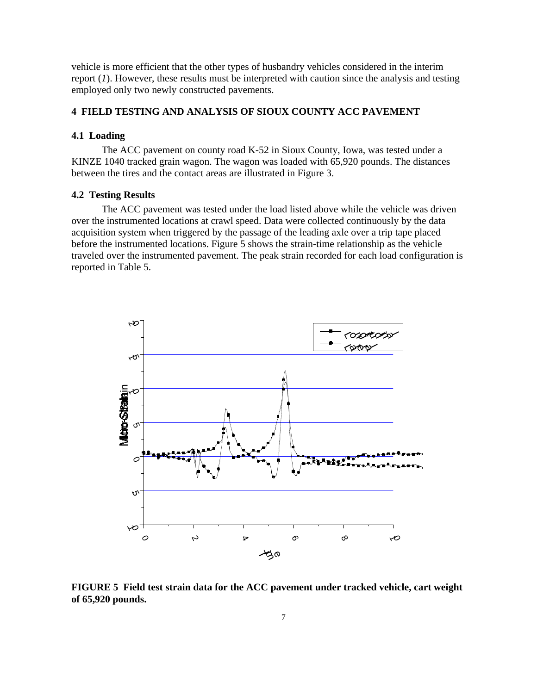<span id="page-13-0"></span>vehicle is more efficient that the other types of husbandry vehicles considered in the interim report (*1*). However, these results must be interpreted with caution since the analysis and testing employed only two newly constructed pavements.

#### **4 FIELD TESTING AND ANALYSIS OF SIOUX COUNTY ACC PAVEMENT**

#### **4.1 Loading**

The ACC pavement on county road K-52 in Sioux County, Iowa, was tested under a KINZE 1040 tracked grain wagon. The wagon was loaded with 65,920 pounds. The distances between the tires and the contact areas are illustrated in Figure 3.

#### **4.2 Testing Results**

The ACC pavement was tested under the load listed above while the vehicle was driven over the instrumented locations at crawl speed. Data were collected continuously by the data acquisition system when triggered by the passage of the leading axle over a trip tape placed before the instrumented locations. Figure 5 shows the strain-time relationship as the vehicle traveled over the instrumented pavement. The peak strain recorded for each load configuration is reported in Table 5.



**FIGURE 5 Field test strain data for the ACC pavement under tracked vehicle, cart weight of 65,920 pounds.**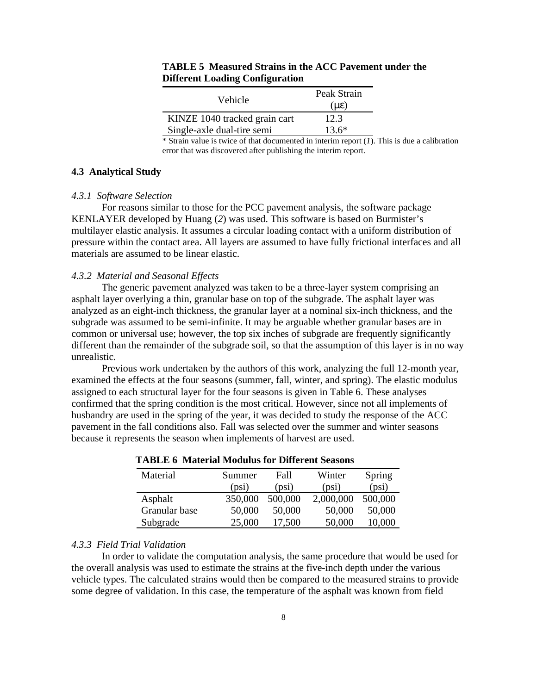| Vehicle                       | Peak Strain<br>(µ |
|-------------------------------|-------------------|
| KINZE 1040 tracked grain cart | 12.3              |
| Single-axle dual-tire semi    | $13.6*$           |

#### **TABLE 5 Measured Strains in the ACC Pavement under the Different Loading Configuration**

 $*$  Strain value is twice of that documented in interim report  $(I)$ . This is due a calibration error that was discovered after publishing the interim report.

#### **4.3 Analytical Study**

#### *4.3.1 Software Selection*

For reasons similar to those for the PCC pavement analysis, the software package KENLAYER developed by Huang (*2*) was used. This software is based on Burmister's multilayer elastic analysis. It assumes a circular loading contact with a uniform distribution of pressure within the contact area. All layers are assumed to have fully frictional interfaces and all materials are assumed to be linear elastic.

#### *4.3.2 Material and Seasonal Effects*

The generic pavement analyzed was taken to be a three-layer system comprising an asphalt layer overlying a thin, granular base on top of the subgrade. The asphalt layer was analyzed as an eight-inch thickness, the granular layer at a nominal six-inch thickness, and the subgrade was assumed to be semi-infinite. It may be arguable whether granular bases are in common or universal use; however, the top six inches of subgrade are frequently significantly different than the remainder of the subgrade soil, so that the assumption of this layer is in no way unrealistic.

Previous work undertaken by the authors of this work, analyzing the full 12-month year, examined the effects at the four seasons (summer, fall, winter, and spring). The elastic modulus assigned to each structural layer for the four seasons is given in Table 6. These analyses confirmed that the spring condition is the most critical. However, since not all implements of husbandry are used in the spring of the year, it was decided to study the response of the ACC pavement in the fall conditions also. Fall was selected over the summer and winter seasons because it represents the season when implements of harvest are used.

| Material      | Summer<br>(psi) | Fall<br>(psi) | Winter<br>(psi) | Spring<br>(psi) |
|---------------|-----------------|---------------|-----------------|-----------------|
| Asphalt       | 350,000         | 500,000       | 2,000,000       | 500,000         |
| Granular base | 50,000          | 50,000        | 50,000          | 50,000          |
| Subgrade      | 25,000          | 17,500        | 50,000          | 10,000          |

#### **TABLE 6 Material Modulus for Different Seasons**

#### *4.3.3 Field Trial Validation*

In order to validate the computation analysis, the same procedure that would be used for the overall analysis was used to estimate the strains at the five-inch depth under the various vehicle types. The calculated strains would then be compared to the measured strains to provide some degree of validation. In this case, the temperature of the asphalt was known from field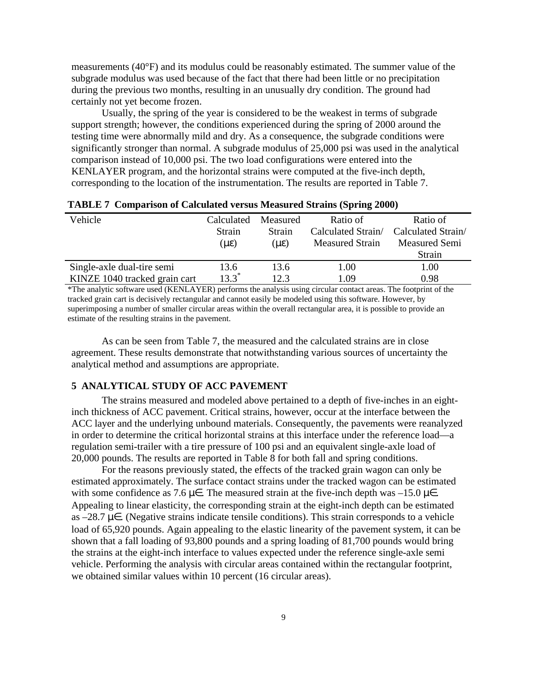<span id="page-15-0"></span>measurements (40°F) and its modulus could be reasonably estimated. The summer value of the subgrade modulus was used because of the fact that there had been little or no precipitation during the previous two months, resulting in an unusually dry condition. The ground had certainly not yet become frozen.

Usually, the spring of the year is considered to be the weakest in terms of subgrade support strength; however, the conditions experienced during the spring of 2000 around the testing time were abnormally mild and dry. As a consequence, the subgrade conditions were significantly stronger than normal. A subgrade modulus of 25,000 psi was used in the analytical comparison instead of 10,000 psi. The two load configurations were entered into the KENLAYER program, and the horizontal strains were computed at the five-inch depth, corresponding to the location of the instrumentation. The results are reported in Table 7.

| Vehicle                       | Calculated | Measured | Ratio of               | Ratio of             |
|-------------------------------|------------|----------|------------------------|----------------------|
|                               | Strain     | Strain   | Calculated Strain/     | Calculated Strain/   |
|                               | (μ         | (U       | <b>Measured Strain</b> | <b>Measured Semi</b> |
|                               |            |          |                        | Strain               |
| Single-axle dual-tire semi    | 13.6       | 13.6     | 1.00                   | 1.00                 |
| KINZE 1040 tracked grain cart | $13.3^*$   | 12.3     | 1.09                   | 0.98                 |

**TABLE 7 Comparison of Calculated versus Measured Strains (Spring 2000)**

\*The analytic software used (KENLAYER) performs the analysis using circular contact areas. The footprint of the tracked grain cart is decisively rectangular and cannot easily be modeled using this software. However, by superimposing a number of smaller circular areas within the overall rectangular area, it is possible to provide an estimate of the resulting strains in the pavement.

As can be seen from Table 7, the measured and the calculated strains are in close agreement. These results demonstrate that notwithstanding various sources of uncertainty the analytical method and assumptions are appropriate.

#### **5 ANALYTICAL STUDY OF ACC PAVEMENT**

The strains measured and modeled above pertained to a depth of five-inches in an eightinch thickness of ACC pavement. Critical strains, however, occur at the interface between the ACC layer and the underlying unbound materials. Consequently, the pavements were reanalyzed in order to determine the critical horizontal strains at this interface under the reference load—a regulation semi-trailer with a tire pressure of 100 psi and an equivalent single-axle load of 20,000 pounds. The results are reported in Table 8 for both fall and spring conditions.

For the reasons previously stated, the effects of the tracked grain wagon can only be estimated approximately. The surface contact strains under the tracked wagon can be estimated with some confidence as 7.6  $\mu$ . The measured strain at the five-inch depth was –15.0  $\mu$ . Appealing to linear elasticity, the corresponding strain at the eight-inch depth can be estimated as –28.7  $\mu$ . (Negative strains indicate tensile conditions). This strain corresponds to a vehicle load of 65,920 pounds. Again appealing to the elastic linearity of the pavement system, it can be shown that a fall loading of 93,800 pounds and a spring loading of 81,700 pounds would bring the strains at the eight-inch interface to values expected under the reference single-axle semi vehicle. Performing the analysis with circular areas contained within the rectangular footprint, we obtained similar values within 10 percent (16 circular areas).